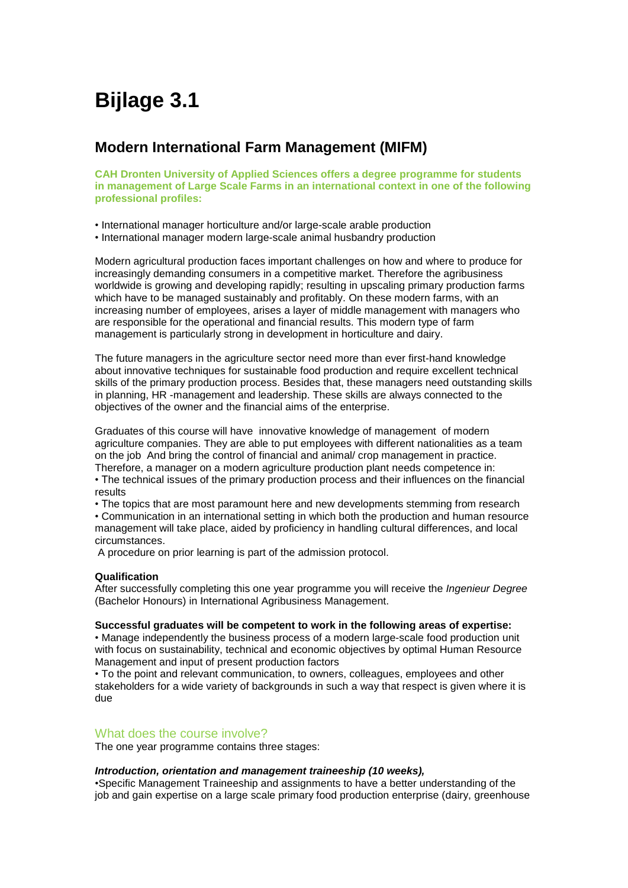# **Bijlage 3.1**

# **Modern International Farm Management (MIFM)**

**CAH Dronten University of Applied Sciences offers a degree programme for students in management of Large Scale Farms in an international context in one of the following professional profiles:**

- International manager horticulture and/or large-scale arable production
- International manager modern large-scale animal husbandry production

Modern agricultural production faces important challenges on how and where to produce for increasingly demanding consumers in a competitive market. Therefore the agribusiness worldwide is growing and developing rapidly; resulting in upscaling primary production farms which have to be managed sustainably and profitably. On these modern farms, with an increasing number of employees, arises a layer of middle management with managers who are responsible for the operational and financial results. This modern type of farm management is particularly strong in development in horticulture and dairy.

The future managers in the agriculture sector need more than ever first-hand knowledge about innovative techniques for sustainable food production and require excellent technical skills of the primary production process. Besides that, these managers need outstanding skills in planning, HR -management and leadership. These skills are always connected to the objectives of the owner and the financial aims of the enterprise.

Graduates of this course will have innovative knowledge of management of modern agriculture companies. They are able to put employees with different nationalities as a team on the job And bring the control of financial and animal/ crop management in practice. Therefore, a manager on a modern agriculture production plant needs competence in:

• The technical issues of the primary production process and their influences on the financial results

• The topics that are most paramount here and new developments stemming from research

• Communication in an international setting in which both the production and human resource management will take place, aided by proficiency in handling cultural differences, and local circumstances.

A procedure on prior learning is part of the admission protocol.

# **Qualification**

After successfully completing this one year programme you will receive the *Ingenieur Degree* (Bachelor Honours) in International Agribusiness Management.

#### **Successful graduates will be competent to work in the following areas of expertise:**

• Manage independently the business process of a modern large-scale food production unit with focus on sustainability, technical and economic objectives by optimal Human Resource Management and input of present production factors

• To the point and relevant communication, to owners, colleagues, employees and other stakeholders for a wide variety of backgrounds in such a way that respect is given where it is due

# What does the course involve?

The one year programme contains three stages:

# *Introduction, orientation and management traineeship (10 weeks),*

•Specific Management Traineeship and assignments to have a better understanding of the job and gain expertise on a large scale primary food production enterprise (dairy, greenhouse